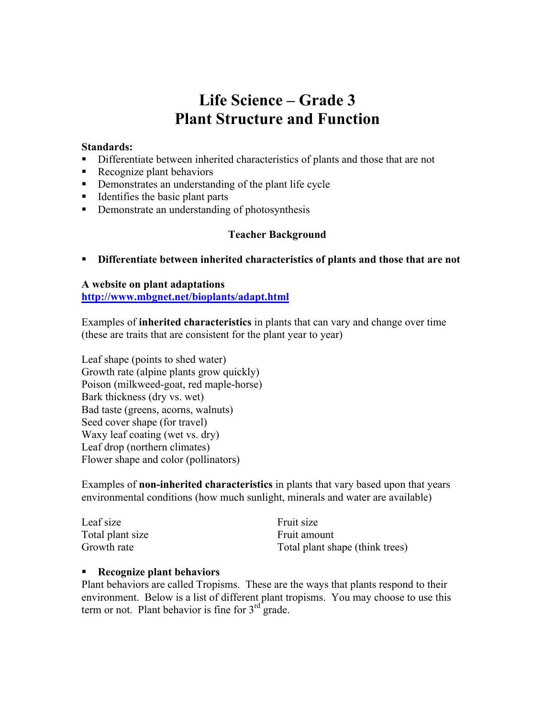# **Life Science – Grade 3 Plant Structure and Function**

### **Standards:**

- Differentiate between inherited characteristics of plants and those that are not
- Recognize plant behaviors
- Demonstrates an understanding of the plant life cycle
- $\blacksquare$  Identifies the basic plant parts
- Demonstrate an understanding of photosynthesis

### **Teacher Background**

**Differentiate between inherited characteristics of plants and those that are not**

### **A website on plant adaptations http://www.mbgnet.net/bioplants/adapt.html**

Examples of **inherited characteristics** in plants that can vary and change over time (these are traits that are consistent for the plant year to year)

Leaf shape (points to shed water) Growth rate (alpine plants grow quickly) Poison (milkweed-goat, red maple-horse) Bark thickness (dry vs. wet) Bad taste (greens, acorns, walnuts) Seed cover shape (for travel) Waxy leaf coating (wet vs. dry) Leaf drop (northern climates) Flower shape and color (pollinators)

Examples of **non-inherited characteristics** in plants that vary based upon that years environmental conditions (how much sunlight, minerals and water are available)

| Leaf size        | Fruit size                      |
|------------------|---------------------------------|
| Total plant size | Fruit amount                    |
| Growth rate      | Total plant shape (think trees) |

### **Recognize plant behaviors**

Plant behaviors are called Tropisms. These are the ways that plants respond to their environment. Below is a list of different plant tropisms. You may choose to use this term or not. Plant behavior is fine for  $3<sup>rd</sup>$  grade.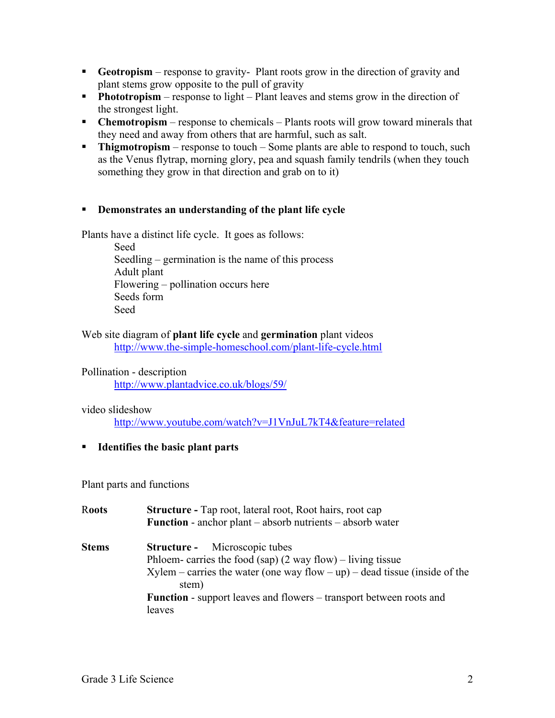- **Geotropism** response to gravity- Plant roots grow in the direction of gravity and plant stems grow opposite to the pull of gravity
- **Phototropism** response to light Plant leaves and stems grow in the direction of the strongest light.
- **Chemotropism** response to chemicals Plants roots will grow toward minerals that they need and away from others that are harmful, such as salt.
- **Thigmotropism** response to touch Some plants are able to respond to touch, such as the Venus flytrap, morning glory, pea and squash family tendrils (when they touch something they grow in that direction and grab on to it)

### **Demonstrates an understanding of the plant life cycle**

Plants have a distinct life cycle. It goes as follows:

Seed Seedling – germination is the name of this process Adult plant Flowering – pollination occurs here Seeds form Seed

Web site diagram of **plant life cycle** and **germination** plant videos http://www.the-simple-homeschool.com/plant-life-cycle.html

Pollination - description

http://www.plantadvice.co.uk/blogs/59/

#### video slideshow

http://www.youtube.com/watch?v=J1VnJuL7kT4&feature=related

**Identifies the basic plant parts**

Plant parts and functions

| <b>Roots</b> | <b>Structure - Tap root, lateral root, Root hairs, root cap</b><br><b>Function</b> - anchor plant – absorb nutrients – absorb water                                                                                                                                                    |
|--------------|----------------------------------------------------------------------------------------------------------------------------------------------------------------------------------------------------------------------------------------------------------------------------------------|
| <b>Stems</b> | <b>Structure -</b> Microscopic tubes<br>Phloem-carries the food (sap) $(2$ way flow) – living tissue<br>$X$ ylem – carries the water (one way flow – up) – dead tissue (inside of the<br>stem)<br><b>Function</b> - support leaves and flowers – transport between roots and<br>leaves |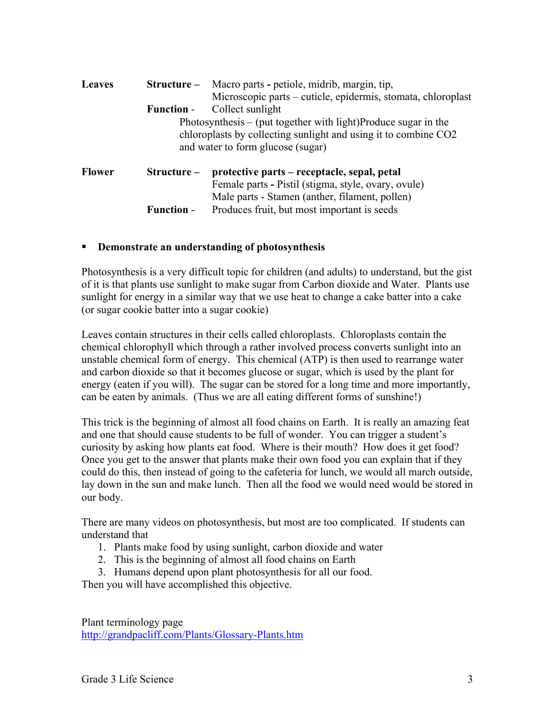| <b>Leaves</b> | $Structure-$                      | Macro parts - petiole, midrib, margin, tip,<br>Microscopic parts – cuticle, epidermis, stomata, chloroplast |
|---------------|-----------------------------------|-------------------------------------------------------------------------------------------------------------|
|               | <b>Function -</b>                 | Collect sunlight                                                                                            |
|               |                                   | Photosynthesis $-$ (put together with light)Produce sugar in the                                            |
|               |                                   | chloroplasts by collecting sunlight and using it to combine CO2                                             |
|               | and water to form glucose (sugar) |                                                                                                             |
| <b>Flower</b> | Structure –                       | protective parts – receptacle, sepal, petal                                                                 |
|               |                                   | Female parts - Pistil (stigma, style, ovary, ovule)                                                         |
|               |                                   | Male parts - Stamen (anther, filament, pollen)                                                              |
|               | <b>Function -</b>                 | Produces fruit, but most important is seeds                                                                 |

### **Demonstrate an understanding of photosynthesis**

Photosynthesis is a very difficult topic for children (and adults) to understand, but the gist of it is that plants use sunlight to make sugar from Carbon dioxide and Water. Plants use sunlight for energy in a similar way that we use heat to change a cake batter into a cake (or sugar cookie batter into a sugar cookie)

Leaves contain structures in their cells called chloroplasts. Chloroplasts contain the chemical chlorophyll which through a rather involved process converts sunlight into an unstable chemical form of energy. This chemical (ATP) is then used to rearrange water and carbon dioxide so that it becomes glucose or sugar, which is used by the plant for energy (eaten if you will). The sugar can be stored for a long time and more importantly, can be eaten by animals. (Thus we are all eating different forms of sunshine!)

This trick is the beginning of almost all food chains on Earth. It is really an amazing feat and one that should cause students to be full of wonder. You can trigger a student's curiosity by asking how plants eat food. Where is their mouth? How does it get food? Once you get to the answer that plants make their own food you can explain that if they could do this, then instead of going to the cafeteria for lunch, we would all march outside, lay down in the sun and make lunch. Then all the food we would need would be stored in our body.

There are many videos on photosynthesis, but most are too complicated. If students can understand that

- 1. Plants make food by using sunlight, carbon dioxide and water
- 2. This is the beginning of almost all food chains on Earth
- 3. Humans depend upon plant photosynthesis for all our food.

Then you will have accomplished this objective.

Plant terminology page http://grandpacliff.com/Plants/Glossary-Plants.htm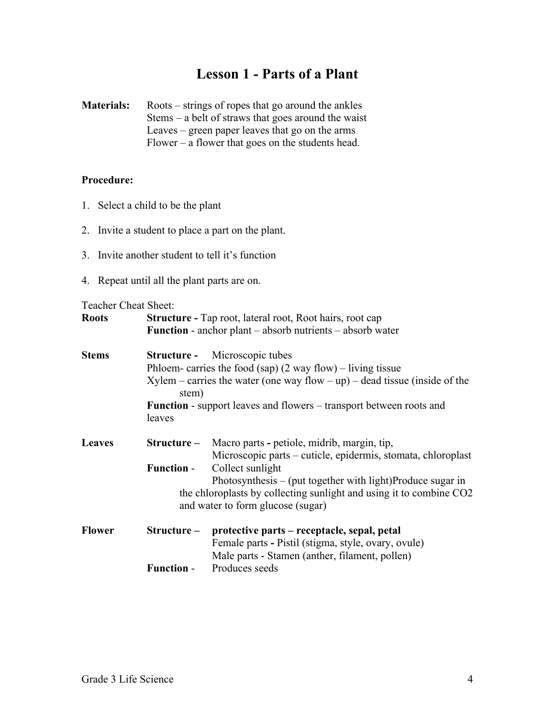# **Lesson 1 - Parts of a Plant**

**Materials:** Roots – strings of ropes that go around the ankles Stems – a belt of straws that goes around the waist Leaves – green paper leaves that go on the arms Flower – a flower that goes on the students head.

### **Procedure:**

- 1. Select a child to be the plant
- 2. Invite a student to place a part on the plant.
- 3. Invite another student to tell it's function
- 4. Repeat until all the plant parts are on.

Teacher Cheat Sheet:

| Teacher Cheat Dheet. |                                                                            |                                                                               |  |
|----------------------|----------------------------------------------------------------------------|-------------------------------------------------------------------------------|--|
| <b>Roots</b>         | <b>Structure - Tap root, lateral root, Root hairs, root cap</b>            |                                                                               |  |
|                      |                                                                            | <b>Function</b> - anchor plant – absorb nutrients – absorb water              |  |
|                      |                                                                            |                                                                               |  |
| <b>Stems</b>         | Structure -                                                                | Microscopic tubes                                                             |  |
|                      | Phloem-carries the food (sap) $(2$ way flow) – living tissue               |                                                                               |  |
|                      | stem)                                                                      | $X$ ylem – carries the water (one way flow – up) – dead tissue (inside of the |  |
|                      | <b>Function</b> - support leaves and flowers – transport between roots and |                                                                               |  |
|                      | leaves                                                                     |                                                                               |  |
|                      |                                                                            |                                                                               |  |
| <b>Leaves</b>        | $Structure-$                                                               | Macro parts - petiole, midrib, margin, tip,                                   |  |
|                      |                                                                            | Microscopic parts – cuticle, epidermis, stomata, chloroplast                  |  |
|                      | <b>Function -</b>                                                          | Collect sunlight                                                              |  |
|                      |                                                                            | Photosynthesis $-$ (put together with light)Produce sugar in                  |  |
|                      |                                                                            | the chloroplasts by collecting sunlight and using it to combine CO2           |  |
|                      |                                                                            | and water to form glucose (sugar)                                             |  |
| <b>Flower</b>        | Structure –                                                                | protective parts – receptacle, sepal, petal                                   |  |
|                      |                                                                            | Female parts - Pistil (stigma, style, ovary, ovule)                           |  |
|                      |                                                                            | Male parts - Stamen (anther, filament, pollen)                                |  |
|                      | <b>Function -</b>                                                          | Produces seeds                                                                |  |
|                      |                                                                            |                                                                               |  |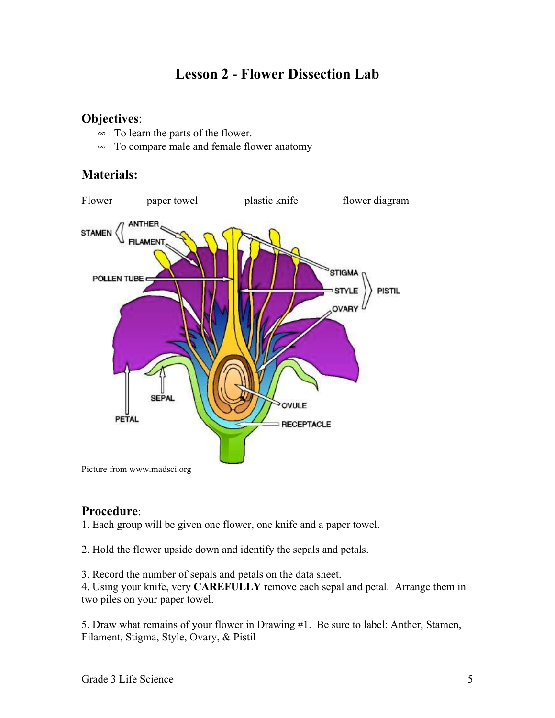# **Lesson 2 - Flower Dissection Lab**

### **Objectives**:

- $\infty$  To learn the parts of the flower.
- $\infty$  To compare male and female flower anatomy

## **Materials:**



## Picture from www.madsci.org

### **Procedure**:

1. Each group will be given one flower, one knife and a paper towel.

2. Hold the flower upside down and identify the sepals and petals.

3. Record the number of sepals and petals on the data sheet.

4. Using your knife, very **CAREFULLY** remove each sepal and petal. Arrange them in two piles on your paper towel.

5. Draw what remains of your flower in Drawing #1. Be sure to label: Anther, Stamen, Filament, Stigma, Style, Ovary, & Pistil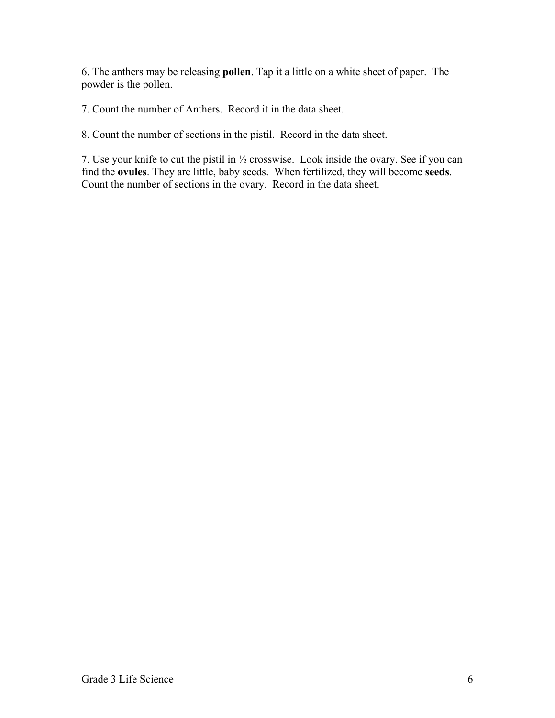6. The anthers may be releasing **pollen**. Tap it a little on a white sheet of paper. The powder is the pollen.

7. Count the number of Anthers. Record it in the data sheet.

8. Count the number of sections in the pistil. Record in the data sheet.

7. Use your knife to cut the pistil in ½ crosswise. Look inside the ovary. See if you can find the **ovules**. They are little, baby seeds. When fertilized, they will become **seeds**. Count the number of sections in the ovary. Record in the data sheet.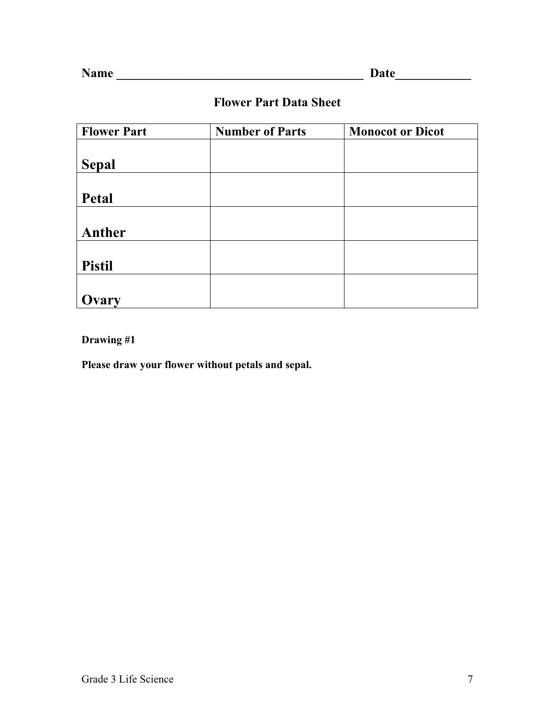# **Flower Part Data Sheet**

| <b>Flower Part</b> | <b>Number of Parts</b> | <b>Monocot or Dicot</b> |
|--------------------|------------------------|-------------------------|
|                    |                        |                         |
| <b>Sepal</b>       |                        |                         |
|                    |                        |                         |
| Petal              |                        |                         |
|                    |                        |                         |
| Anther             |                        |                         |
|                    |                        |                         |
| <b>Pistil</b>      |                        |                         |
|                    |                        |                         |
| Ovary              |                        |                         |

**Drawing #1**

**Please draw your flower without petals and sepal.**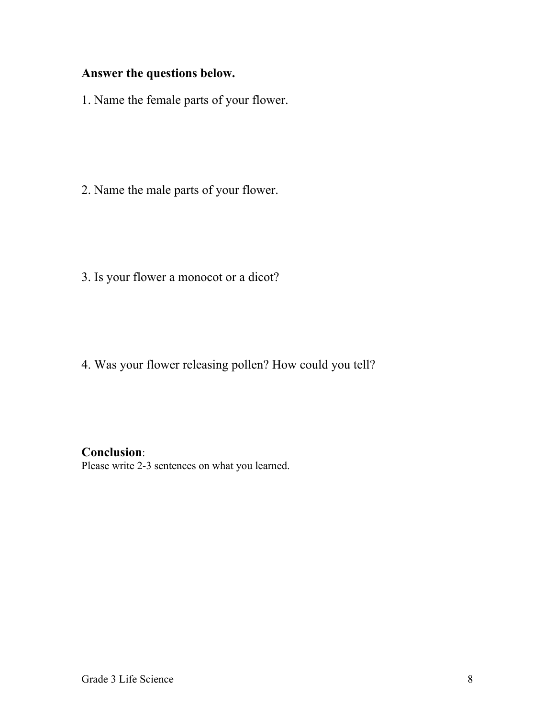# **Answer the questions below.**

1. Name the female parts of your flower.

2. Name the male parts of your flower.

3. Is your flower a monocot or a dicot?

4. Was your flower releasing pollen? How could you tell?

## **Conclusion**:

Please write 2-3 sentences on what you learned.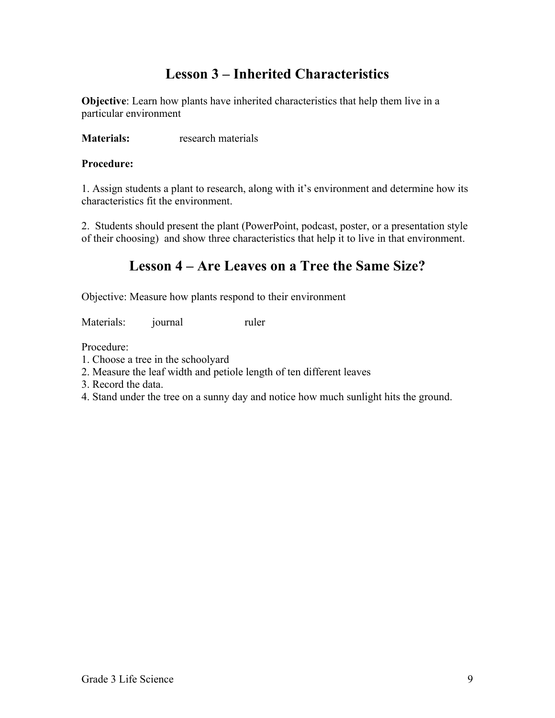# **Lesson 3 – Inherited Characteristics**

**Objective**: Learn how plants have inherited characteristics that help them live in a particular environment

**Materials:** research materials

### **Procedure:**

1. Assign students a plant to research, along with it's environment and determine how its characteristics fit the environment.

2. Students should present the plant (PowerPoint, podcast, poster, or a presentation style of their choosing) and show three characteristics that help it to live in that environment.

# **Lesson 4 – Are Leaves on a Tree the Same Size?**

Objective: Measure how plants respond to their environment

Materials: journal ruler

Procedure:

- 1. Choose a tree in the schoolyard
- 2. Measure the leaf width and petiole length of ten different leaves
- 3. Record the data.
- 4. Stand under the tree on a sunny day and notice how much sunlight hits the ground.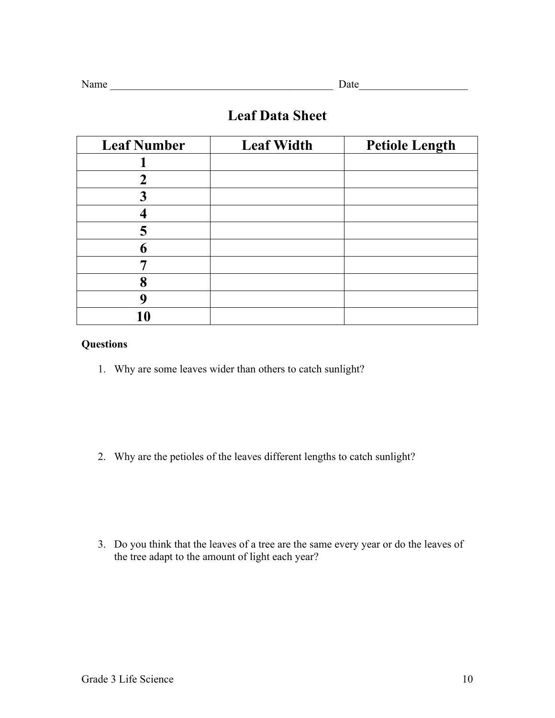| o |
|---|
|   |

# **Leaf Data Sheet**

| <b>Leaf Number</b> | <b>Leaf Width</b> | <b>Petiole Length</b> |
|--------------------|-------------------|-----------------------|
|                    |                   |                       |
| 2                  |                   |                       |
|                    |                   |                       |
|                    |                   |                       |
| 5                  |                   |                       |
| 6                  |                   |                       |
|                    |                   |                       |
| 8                  |                   |                       |
|                    |                   |                       |
| 10                 |                   |                       |

### **Questions**

1. Why are some leaves wider than others to catch sunlight?

2. Why are the petioles of the leaves different lengths to catch sunlight?

3. Do you think that the leaves of a tree are the same every year or do the leaves of the tree adapt to the amount of light each year?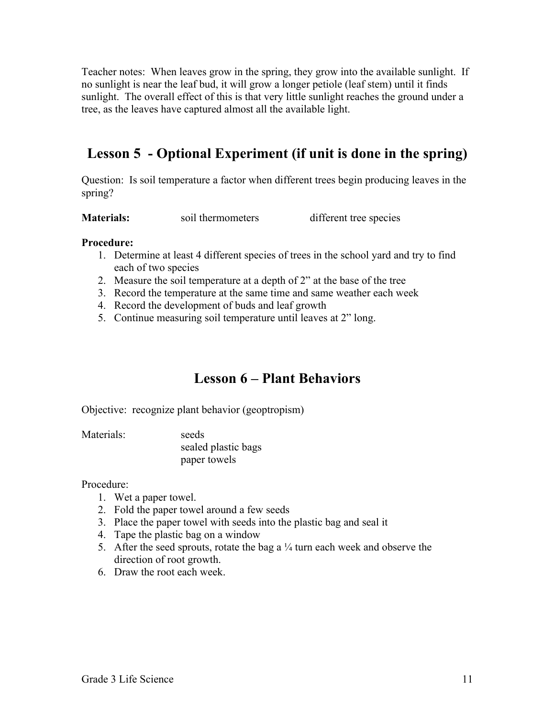Teacher notes: When leaves grow in the spring, they grow into the available sunlight. If no sunlight is near the leaf bud, it will grow a longer petiole (leaf stem) until it finds sunlight. The overall effect of this is that very little sunlight reaches the ground under a tree, as the leaves have captured almost all the available light.

# **Lesson 5 - Optional Experiment (if unit is done in the spring)**

Question: Is soil temperature a factor when different trees begin producing leaves in the spring?

**Materials:** soil thermometers different tree species

### **Procedure:**

- 1. Determine at least 4 different species of trees in the school yard and try to find each of two species
- 2. Measure the soil temperature at a depth of 2" at the base of the tree
- 3. Record the temperature at the same time and same weather each week
- 4. Record the development of buds and leaf growth
- 5. Continue measuring soil temperature until leaves at 2" long.

# **Lesson 6 – Plant Behaviors**

Objective: recognize plant behavior (geoptropism)

Materials: seeds

sealed plastic bags paper towels

### Procedure:

- 1. Wet a paper towel.
- 2. Fold the paper towel around a few seeds
- 3. Place the paper towel with seeds into the plastic bag and seal it
- 4. Tape the plastic bag on a window
- 5. After the seed sprouts, rotate the bag a  $\frac{1}{4}$  turn each week and observe the direction of root growth.
- 6. Draw the root each week.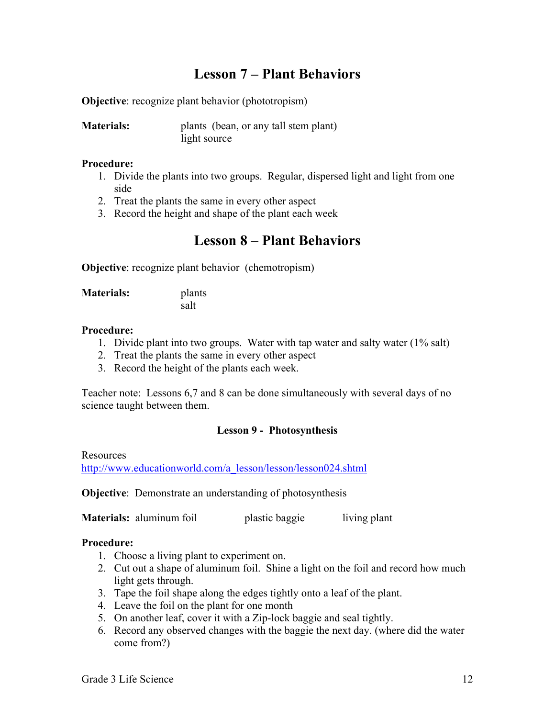# **Lesson 7 – Plant Behaviors**

**Objective**: recognize plant behavior (phototropism)

| <b>Materials:</b> | plants (bean, or any tall stem plant) |
|-------------------|---------------------------------------|
|                   | light source                          |

#### **Procedure:**

- 1. Divide the plants into two groups. Regular, dispersed light and light from one side
- 2. Treat the plants the same in every other aspect
- 3. Record the height and shape of the plant each week

## **Lesson 8 – Plant Behaviors**

**Objective**: recognize plant behavior (chemotropism)

**Materials:** plants salt

### **Procedure:**

- 1. Divide plant into two groups. Water with tap water and salty water (1% salt)
- 2. Treat the plants the same in every other aspect
- 3. Record the height of the plants each week.

Teacher note: Lessons 6,7 and 8 can be done simultaneously with several days of no science taught between them.

### **Lesson 9 - Photosynthesis**

**Resources** 

http://www.educationworld.com/a\_lesson/lesson/lesson024.shtml

**Objective**: Demonstrate an understanding of photosynthesis

**Materials:** aluminum foil plastic baggie living plant

### **Procedure:**

- 1. Choose a living plant to experiment on.
- 2. Cut out a shape of aluminum foil. Shine a light on the foil and record how much light gets through.
- 3. Tape the foil shape along the edges tightly onto a leaf of the plant.
- 4. Leave the foil on the plant for one month
- 5. On another leaf, cover it with a Zip-lock baggie and seal tightly.
- 6. Record any observed changes with the baggie the next day. (where did the water come from?)